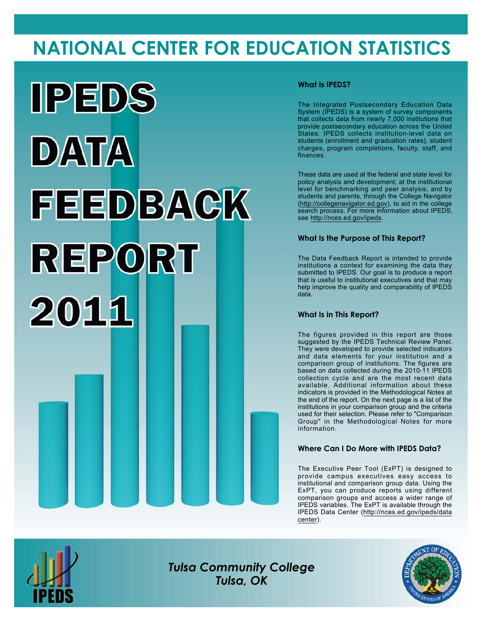# **NATIONAL CENTER FOR EDUCATION STATISTICS**



## **What Is IPEDS?**

The Integrated Postsecondary Education Data System (IPEDS) is a system of survey components that collects data from nearly 7,000 institutions that provide postsecondary education across the United States. IPEDS collects institution-level data on students (enrollment and graduation rates), student charges, program completions, faculty, staff, and finances.

These data are used at the federal and state level for policy analysis and development; at the institutional level for benchmarking and peer analysis; and by students and parents, through the College Navigator (<http://collegenavigator.ed.gov>), to aid in the college search process. For more information about IPEDS, see [http://nces.ed.gov/ipeds.](http://nces.ed.gov/ipeds)

## **What Is the Purpose of This Report?**

The Data Feedback Report is intended to provide institutions a context for examining the data they submitted to IPEDS. Our goal is to produce a report that is useful to institutional executives and that may help improve the quality and comparability of IPEDS data.

### **What Is in This Report?**

The figures provided in this report are those suggested by the IPEDS Technical Review Panel. They were developed to provide selected indicators and data elements for your institution and a comparison group of institutions. The figures are based on data collected during the 2010-11 IPEDS collection cycle and are the most recent data available. Additional information about these indicators is provided in the Methodological Notes at the end of the report. On the next page is a list of the institutions in your comparison group and the criteria used for their selection. Please refer to "Comparison Group" in the Methodological Notes for more information.

## **Where Can I Do More with IPEDS Data?**

The Executive Peer Tool (ExPT) is designed to provide campus executives easy access to institutional and comparison group data. Using the ExPT, you can produce reports using different comparison groups and access a wider range of IPEDS variables. The ExPT is available through the IPEDS Data Center ([http://nces.ed.gov/ipeds/data](http://nces.ed.gov/ipeds/datacenter) [center](http://nces.ed.gov/ipeds/datacenter)).



Image description. Cover Image End of image description.

*Tulsa Community College Tulsa, OK*

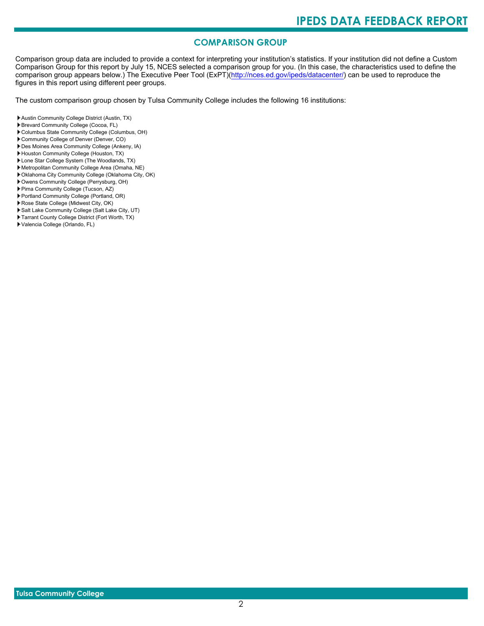# **COMPARISON GROUP**

Comparison group data are included to provide a context for interpreting your institution's statistics. If your institution did not define a Custom Comparison Group for this report by July 15, NCES selected a comparison group for you. (In this case, the characteristics used to define the comparison group appears below.) The Executive Peer Tool (ExPT)[\(http://nces.ed.gov/ipeds/datacenter/\)](http://nces.ed.gov/ipeds/datacenter/) can be used to reproduce the figures in this report using different peer groups.

The custom comparison group chosen by Tulsa Community College includes the following 16 institutions:

- Austin Community College District (Austin, TX)
- Brevard Community College (Cocoa, FL)
- Columbus State Community College (Columbus, OH)
- Community College of Denver (Denver, CO)
- Des Moines Area Community College (Ankeny, IA)
- Houston Community College (Houston, TX)
- Lone Star College System (The Woodlands, TX)
- Metropolitan Community College Area (Omaha, NE)
- Oklahoma City Community College (Oklahoma City, OK)
- Owens Community College (Perrysburg, OH)
- Pima Community College (Tucson, AZ)
- Portland Community College (Portland, OR)
- Rose State College (Midwest City, OK)
- Salt Lake Community College (Salt Lake City, UT)
- Tarrant County College District (Fort Worth, TX)
- Valencia College (Orlando, FL)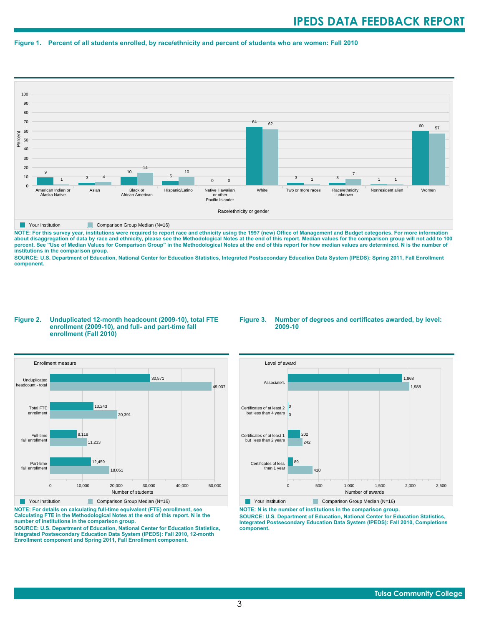#### **Figure 1. Percent of all students enrolled, by race/ethnicity and percent of students who are women: Fall 2010**



**NOTE: For this survey year, institutions were required to report race and ethnicity using the 1997 (new) Office of Management and Budget categories. For more information** about disaggregation of data by race and ethnicity, please see the Methodological Notes at the end of this report. Median values for the comparison group will not add to 100<br>percent. See "Use of Median Values for Compariso **institutions in the comparison group.**

**SOURCE: U.S. Department of Education, National Center for Education Statistics, Integrated Postsecondary Education Data System (IPEDS): Spring 2011, Fall Enrollment component.**

#### **Figure 2. Unduplicated 12-month headcount (2009-10), total FTE enrollment (2009-10), and full- and part-time fall enrollment (Fall 2010)**

#### **Figure 3. Number of degrees and certificates awarded, by level: 2009-10**



**NOTE: For details on calculating full-time equivalent (FTE) enrollment, see Calculating FTE in the Methodological Notes at the end of this report. N is the number of institutions in the comparison group.**

**SOURCE: U.S. Department of Education, National Center for Education Statistics, Integrated Postsecondary Education Data System (IPEDS): Fall 2010, 12-month Enrollment component and Spring 2011, Fall Enrollment component.**



Your institution Comparison Group Median (N=16)

**NOTE: N is the number of institutions in the comparison group.**

**SOURCE: U.S. Department of Education, National Center for Education Statistics, Integrated Postsecondary Education Data System (IPEDS): Fall 2010, Completions component.**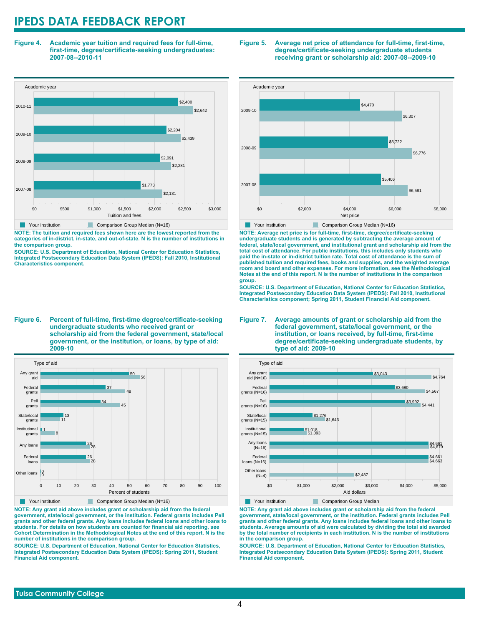**Figure 4. Academic year tuition and required fees for full-time, first-time, degree/certificate-seeking undergraduates: 2007-08--2010-11**



**NOTE: The tuition and required fees shown here are the lowest reported from the categories of in-district, in-state, and out-of-state. N is the number of institutions in the comparison group.**

**SOURCE: U.S. Department of Education, National Center for Education Statistics, Integrated Postsecondary Education Data System (IPEDS): Fall 2010, Institutional Characteristics component.**

**Figure 6. Percent of full-time, first-time degree/certificate-seeking undergraduate students who received grant or scholarship aid from the federal government, state/local government, or the institution, or loans, by type of aid: 2009-10**



**NOTE: Any grant aid above includes grant or scholarship aid from the federal government, state/local government, or the institution. Federal grants includes Pell grants and other federal grants. Any loans includes federal loans and other loans to students. For details on how students are counted for financial aid reporting, see Cohort Determination in the Methodological Notes at the end of this report. N is the number of institutions in the comparison group.**

**SOURCE: U.S. Department of Education, National Center for Education Statistics, Integrated Postsecondary Education Data System (IPEDS): Spring 2011, Student Financial Aid component.**

#### **Figure 5. Average net price of attendance for full-time, first-time, degree/certificate-seeking undergraduate students receiving grant or scholarship aid: 2007-08--2009-10**



**NOTE: Average net price is for full-time, first-time, degree/certificate-seeking undergraduate students and is generated by subtracting the average amount of federal, state/local government, and institutional grant and scholarship aid from the total cost of attendance. For public institutions, this includes only students who paid the in-state or in-district tuition rate. Total cost of attendance is the sum of published tuition and required fees, books and supplies, and the weighted average room and board and other expenses. For more information, see the Methodological Notes at the end of this report. N is the number of institutions in the comparison group.**

**SOURCE: U.S. Department of Education, National Center for Education Statistics, Integrated Postsecondary Education Data System (IPEDS): Fall 2010, Institutional Characteristics component; Spring 2011, Student Financial Aid component.**

#### **Figure 7. Average amounts of grant or scholarship aid from the federal government, state/local government, or the institution, or loans received, by full-time, first-time degree/certificate-seeking undergraduate students, by type of aid: 2009-10**



**NOTE: Any grant aid above includes grant or scholarship aid from the federal government, state/local government, or the institution. Federal grants includes Pell grants and other federal grants. Any loans includes federal loans and other loans to students. Average amounts of aid were calculated by dividing the total aid awarded by the total number of recipients in each institution. N is the number of institutions in the comparison group.**

**SOURCE: U.S. Department of Education, National Center for Education Statistics, Integrated Postsecondary Education Data System (IPEDS): Spring 2011, Student Financial Aid component.**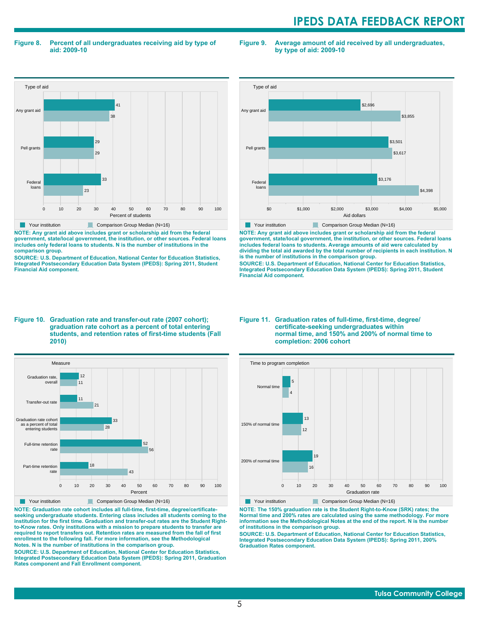#### **Figure 8. Percent of all undergraduates receiving aid by type of aid: 2009-10**

**Figure 9. Average amount of aid received by all undergraduates, by type of aid: 2009-10**



**NOTE: Any grant aid above includes grant or scholarship aid from the federal government, state/local government, the institution, or other sources. Federal loans includes only federal loans to students. N is the number of institutions in the**

**comparison group. SOURCE: U.S. Department of Education, National Center for Education Statistics, Integrated Postsecondary Education Data System (IPEDS): Spring 2011, Student Financial Aid component.**



**NOTE: Any grant aid above includes grant or scholarship aid from the federal government, state/local government, the institution, or other sources. Federal loans includes federal loans to students. Average amounts of aid were calculated by dividing the total aid awarded by the total number of recipients in each institution. N is the number of institutions in the comparison group.**

**SOURCE: U.S. Department of Education, National Center for Education Statistics, Integrated Postsecondary Education Data System (IPEDS): Spring 2011, Student Financial Aid component.**

#### **Figure 10. Graduation rate and transfer-out rate (2007 cohort); graduation rate cohort as a percent of total entering students, and retention rates of first-time students (Fall 2010)**



**NOTE: Graduation rate cohort includes all full-time, first-time, degree/certificateseeking undergraduate students. Entering class includes all students coming to the institution for the first time. Graduation and transfer-out rates are the Student Rightto-Know rates. Only institutions with a mission to prepare students to transfer are required to report transfers out. Retention rates are measured from the fall of first enrollment to the following fall. For more information, see the Methodological Notes. N is the number of institutions in the comparison group.**

**SOURCE: U.S. Department of Education, National Center for Education Statistics, Integrated Postsecondary Education Data System (IPEDS): Spring 2011, Graduation Rates component and Fall Enrollment component.**

#### **Figure 11. Graduation rates of full-time, first-time, degree/ certificate-seeking undergraduates within normal time, and 150% and 200% of normal time to completion: 2006 cohort**



Your institution Comparison Group Median (N=16)

**NOTE: The 150% graduation rate is the Student Right-to-Know (SRK) rates; the Normal time and 200% rates are calculated using the same methodology. For more information see the Methodological Notes at the end of the report. N is the number of institutions in the comparison group.**

**SOURCE: U.S. Department of Education, National Center for Education Statistics, Integrated Postsecondary Education Data System (IPEDS): Spring 2011, 200% Graduation Rates component.**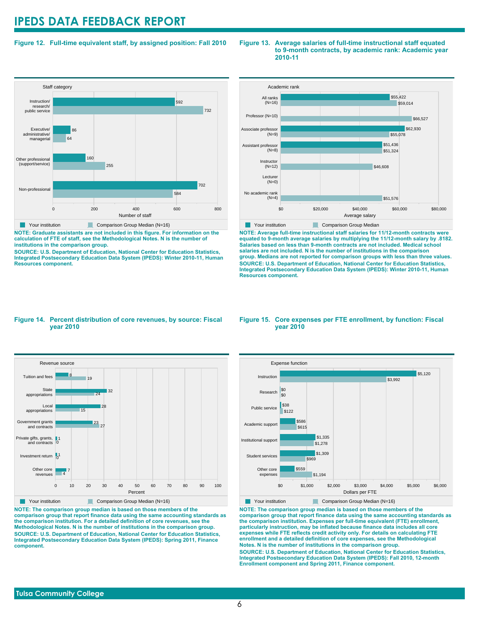### **Figure 12. Full-time equivalent staff, by assigned position: Fall 2010**



**T** Your institution **Comparison Group Median (N=16)** 

**NOTE: Graduate assistants are not included in this figure. For information on the calculation of FTE of staff, see the Methodological Notes. N is the number of institutions in the comparison group.**

**SOURCE: U.S. Department of Education, National Center for Education Statistics, Integrated Postsecondary Education Data System (IPEDS): Winter 2010-11, Human Resources component.**

#### **Figure 13. Average salaries of full-time instructional staff equated to 9-month contracts, by academic rank: Academic year 2010-11**



**NOTE: Average full-time instructional staff salaries for 11/12-month contracts were equated to 9-month average salaries by multiplying the 11/12-month salary by .8182. Salaries based on less than 9-month contracts are not included. Medical school salaries are not included. N is the number of institutions in the comparison group. Medians are not reported for comparison groups with less than three values. SOURCE: U.S. Department of Education, National Center for Education Statistics, Integrated Postsecondary Education Data System (IPEDS): Winter 2010-11, Human Resources component.**

#### **Figure 14. Percent distribution of core revenues, by source: Fiscal year 2010**



**NOTE: The comparison group median is based on those members of the comparison group that report finance data using the same accounting standards as the comparison institution. For a detailed definition of core revenues, see the Methodological Notes. N is the number of institutions in the comparison group. SOURCE: U.S. Department of Education, National Center for Education Statistics, Integrated Postsecondary Education Data System (IPEDS): Spring 2011, Finance component.**

#### **Figure 15. Core expenses per FTE enrollment, by function: Fiscal year 2010**



Your institution Comparison Group Median (N=16)

**NOTE: The comparison group median is based on those members of the comparison group that report finance data using the same accounting standards as the comparison institution. Expenses per full-time equivalent (FTE) enrollment, particularly instruction, may be inflated because finance data includes all core expenses while FTE reflects credit activity only. For details on calculating FTE enrollment and a detailed definition of core expenses, see the Methodological Notes. N is the number of institutions in the comparison group. SOURCE: U.S. Department of Education, National Center for Education Statistics, Integrated Postsecondary Education Data System (IPEDS): Fall 2010, 12-month Enrollment component and Spring 2011, Finance component.**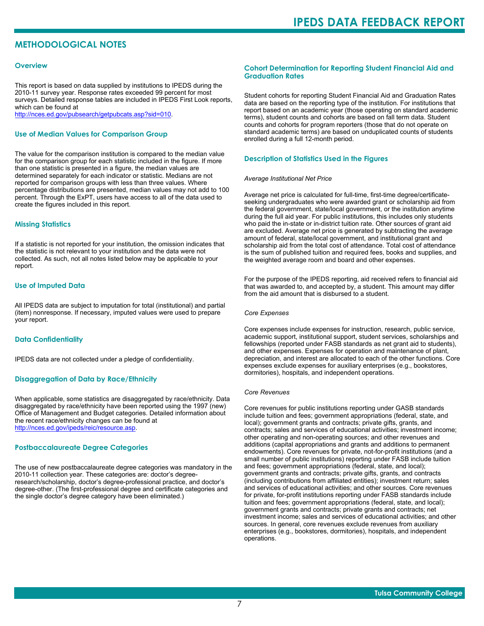# **METHODOLOGICAL NOTES**

#### **Overview**

This report is based on data supplied by institutions to IPEDS during the 2010-11 survey year. Response rates exceeded 99 percent for most surveys. Detailed response tables are included in IPEDS First Look reports, which can be found at [http://nces.ed.gov/pubsearch/getpubcats.asp?sid=010.](http://nces.ed.gov/pubsearch/getpubcats.asp?sid=010)

#### **Use of Median Values for Comparison Group**

The value for the comparison institution is compared to the median value for the comparison group for each statistic included in the figure. If more than one statistic is presented in a figure, the median values are determined separately for each indicator or statistic. Medians are not reported for comparison groups with less than three values. Where percentage distributions are presented, median values may not add to 100 percent. Through the ExPT, users have access to all of the data used to create the figures included in this report.

#### **Missing Statistics**

If a statistic is not reported for your institution, the omission indicates that the statistic is not relevant to your institution and the data were not collected. As such, not all notes listed below may be applicable to your report.

#### **Use of Imputed Data**

All IPEDS data are subject to imputation for total (institutional) and partial (item) nonresponse. If necessary, imputed values were used to prepare your report.

#### **Data Confidentiality**

IPEDS data are not collected under a pledge of confidentiality.

#### **Disaggregation of Data by Race/Ethnicity**

When applicable, some statistics are disaggregated by race/ethnicity. Data disaggregated by race/ethnicity have been reported using the 1997 (new) Office of Management and Budget categories. Detailed information about the recent race/ethnicity changes can be found at <http://nces.ed.gov/ipeds/reic/resource.asp>.

#### **Postbaccalaureate Degree Categories**

The use of new postbaccalaureate degree categories was mandatory in the 2010-11 collection year. These categories are: doctor's degreeresearch/scholarship, doctor's degree-professional practice, and doctor's degree-other. (The first-professional degree and certificate categories and the single doctor's degree category have been eliminated.)

#### **Cohort Determination for Reporting Student Financial Aid and Graduation Rates**

Student cohorts for reporting Student Financial Aid and Graduation Rates data are based on the reporting type of the institution. For institutions that report based on an academic year (those operating on standard academic terms), student counts and cohorts are based on fall term data. Student counts and cohorts for program reporters (those that do not operate on standard academic terms) are based on unduplicated counts of students enrolled during a full 12-month period.

#### **Description of Statistics Used in the Figures**

#### *Average Institutional Net Price*

Average net price is calculated for full-time, first-time degree/certificateseeking undergraduates who were awarded grant or scholarship aid from the federal government, state/local government, or the institution anytime during the full aid year. For public institutions, this includes only students who paid the in-state or in-district tuition rate. Other sources of grant aid are excluded. Average net price is generated by subtracting the average amount of federal, state/local government, and institutional grant and scholarship aid from the total cost of attendance. Total cost of attendance is the sum of published tuition and required fees, books and supplies, and the weighted average room and board and other expenses.

For the purpose of the IPEDS reporting, aid received refers to financial aid that was awarded to, and accepted by, a student. This amount may differ from the aid amount that is disbursed to a student.

#### *Core Expenses*

Core expenses include expenses for instruction, research, public service, academic support, institutional support, student services, scholarships and fellowships (reported under FASB standards as net grant aid to students), and other expenses. Expenses for operation and maintenance of plant, depreciation, and interest are allocated to each of the other functions. Core expenses exclude expenses for auxiliary enterprises (e.g., bookstores, dormitories), hospitals, and independent operations.

#### *Core Revenues*

Core revenues for public institutions reporting under GASB standards include tuition and fees; government appropriations (federal, state, and local); government grants and contracts; private gifts, grants, and contracts; sales and services of educational activities; investment income; other operating and non-operating sources; and other revenues and additions (capital appropriations and grants and additions to permanent endowments). Core revenues for private, not-for-profit institutions (and a small number of public institutions) reporting under FASB include tuition and fees; government appropriations (federal, state, and local); government grants and contracts; private gifts, grants, and contracts (including contributions from affiliated entities); investment return; sales and services of educational activities; and other sources. Core revenues for private, for-profit institutions reporting under FASB standards include tuition and fees; government appropriations (federal, state, and local); government grants and contracts; private grants and contracts; net investment income; sales and services of educational activities; and other sources. In general, core revenues exclude revenues from auxiliary enterprises (e.g., bookstores, dormitories), hospitals, and independent operations.